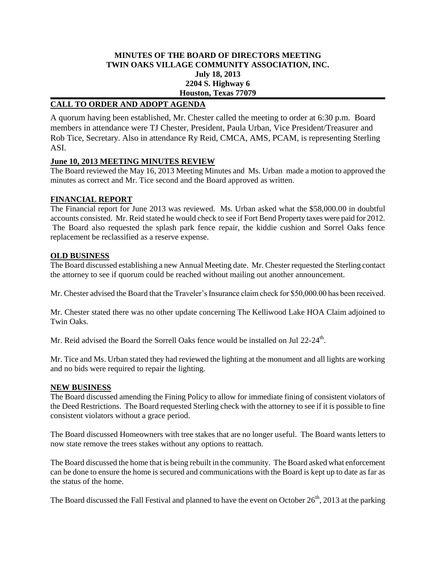## **MINUTES OF THE BOARD OF DIRECTORS MEETING TWIN OAKS VILLAGE COMMUNITY ASSOCIATION, INC. July 18, 2013 2204 S. Highway 6 Houston, Texas 77079**

## **CALL TO ORDER AND ADOPT AGENDA**

A quorum having been established, Mr. Chester called the meeting to order at 6:30 p.m. Board members in attendance were TJ Chester, President, Paula Urban, Vice President/Treasurer and Rob Tice, Secretary. Also in attendance Ry Reid, CMCA, AMS, PCAM, is representing Sterling ASI.

### **June 10, 2013 MEETING MINUTES REVIEW**

The Board reviewed the May 16, 2013 Meeting Minutes and Ms. Urban made a motion to approved the minutes as correct and Mr. Tice second and the Board approved as written.

# **FINANCIAL REPORT**

The Financial report for June 2013 was reviewed. Ms. Urban asked what the \$58,000.00 in doubtful accounts consisted. Mr. Reid stated he would check to see if Fort Bend Property taxes were paid for 2012. The Board also requested the splash park fence repair, the kiddie cushion and Sorrel Oaks fence replacement be reclassified as a reserve expense.

### **OLD BUSINESS**

The Board discussed establishing a new Annual Meeting date. Mr. Chester requested the Sterling contact the attorney to see if quorum could be reached without mailing out another announcement.

Mr. Chester advised the Board that the Traveler's Insurance claim check for \$50,000.00 has been received.

Mr. Chester stated there was no other update concerning The Kelliwood Lake HOA Claim adjoined to Twin Oaks.

Mr. Reid advised the Board the Sorrell Oaks fence would be installed on Jul 22-24<sup>th</sup>.

Mr. Tice and Ms. Urban stated they had reviewed the lighting at the monument and all lights are working and no bids were required to repair the lighting.

### **NEW BUSINESS**

The Board discussed amending the Fining Policy to allow for immediate fining of consistent violators of the Deed Restrictions. The Board requested Sterling check with the attorney to see if it is possible to fine consistent violators without a grace period.

The Board discussed Homeowners with tree stakes that are no longer useful. The Board wants letters to now state remove the trees stakes without any options to reattach.

The Board discussed the home that is being rebuilt in the community. The Board asked what enforcement can be done to ensure the home is secured and communications with the Board is kept up to date as far as the status of the home.

The Board discussed the Fall Festival and planned to have the event on October  $26<sup>th</sup>$ , 2013 at the parking